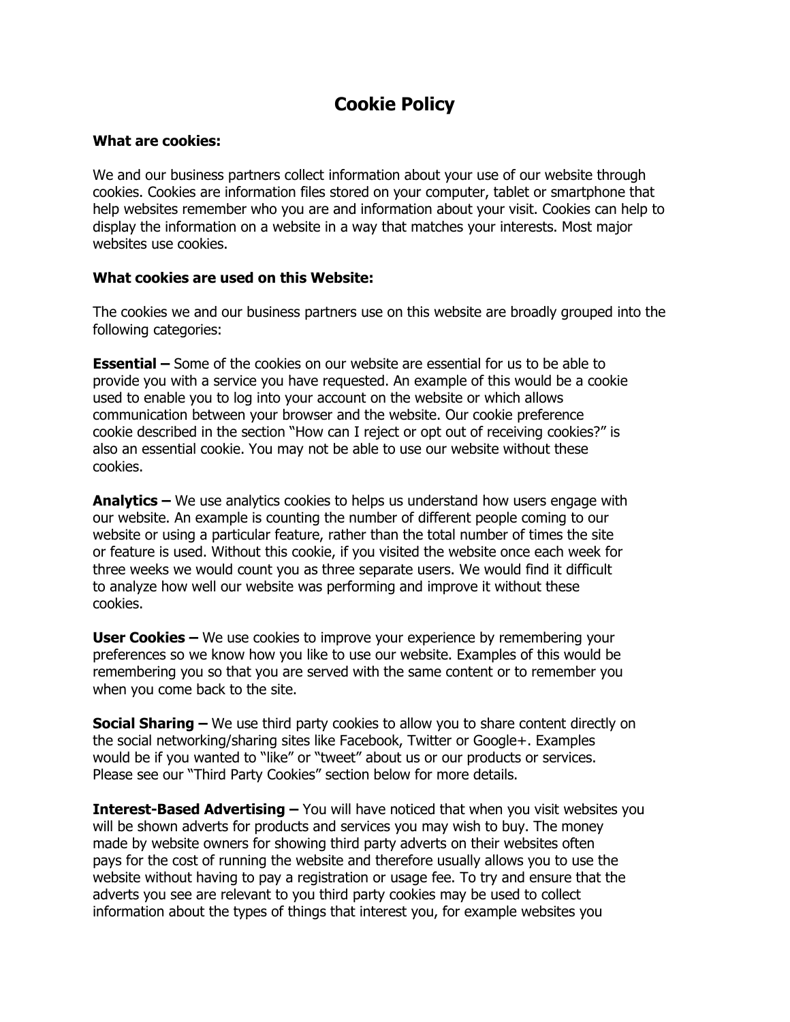# **Cookie Policy**

#### **What are cookies:**

We and our business partners collect information about your use of our website through cookies. Cookies are information files stored on your computer, tablet or smartphone that help websites remember who you are and information about your visit. Cookies can help to display the information on a website in a way that matches your interests. Most major websites use cookies.

#### **What cookies are used on this Website:**

The cookies we and our business partners use on this website are broadly grouped into the following categories:

**Essential –** Some of the cookies on our website are essential for us to be able to provide you with a service you have requested. An example of this would be a cookie used to enable you to log into your account on the website or which allows communication between your browser and the website. Our cookie preference cookie described in the section "How can I reject or opt out of receiving cookies?" is also an essential cookie. You may not be able to use our website without these cookies.

**Analytics –** We use analytics cookies to helps us understand how users engage with our website. An example is counting the number of different people coming to our website or using a particular feature, rather than the total number of times the site or feature is used. Without this cookie, if you visited the website once each week for three weeks we would count you as three separate users. We would find it difficult to analyze how well our website was performing and improve it without these cookies.

**User Cookies –** We use cookies to improve your experience by remembering your preferences so we know how you like to use our website. Examples of this would be remembering you so that you are served with the same content or to remember you when you come back to the site.

**Social Sharing –** We use third party cookies to allow you to share content directly on the social networking/sharing sites like Facebook, Twitter or Google+. Examples would be if you wanted to "like" or "tweet" about us or our products or services. Please see our "Third Party Cookies" section below for more details.

**Interest-Based Advertising –** You will have noticed that when you visit websites you will be shown adverts for products and services you may wish to buy. The money made by website owners for showing third party adverts on their websites often pays for the cost of running the website and therefore usually allows you to use the website without having to pay a registration or usage fee. To try and ensure that the adverts you see are relevant to you third party cookies may be used to collect information about the types of things that interest you, for example websites you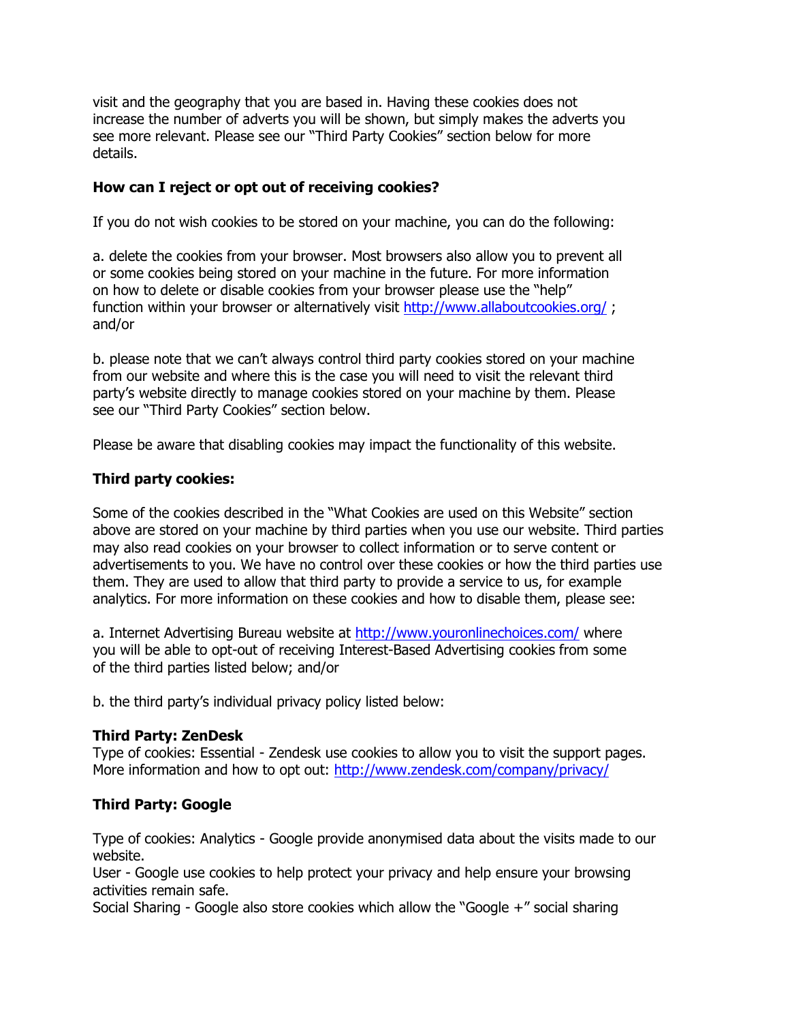visit and the geography that you are based in. Having these cookies does not increase the number of adverts you will be shown, but simply makes the adverts you see more relevant. Please see our "Third Party Cookies" section below for more details.

## **How can I reject or opt out of receiving cookies?**

If you do not wish cookies to be stored on your machine, you can do the following:

a. delete the cookies from your browser. Most browsers also allow you to prevent all or some cookies being stored on your machine in the future. For more information on how to delete or disable cookies from your browser please use the "help" function within your browser or alternatively visit<http://www.allaboutcookies.org/> ; and/or

b. please note that we can't always control third party cookies stored on your machine from our website and where this is the case you will need to visit the relevant third party's website directly to manage cookies stored on your machine by them. Please see our "Third Party Cookies" section below.

Please be aware that disabling cookies may impact the functionality of this website.

#### **Third party cookies:**

Some of the cookies described in the "What Cookies are used on this Website" section above are stored on your machine by third parties when you use our website. Third parties may also read cookies on your browser to collect information or to serve content or advertisements to you. We have no control over these cookies or how the third parties use them. They are used to allow that third party to provide a service to us, for example analytics. For more information on these cookies and how to disable them, please see:

a. Internet Advertising Bureau website at<http://www.youronlinechoices.com/> where you will be able to opt-out of receiving Interest-Based Advertising cookies from some of the third parties listed below; and/or

b. the third party's individual privacy policy listed below:

#### **Third Party: ZenDesk**

Type of cookies: Essential - Zendesk use cookies to allow you to visit the support pages. More information and how to opt out:<http://www.zendesk.com/company/privacy/>

#### **Third Party: Google**

Type of cookies: Analytics - Google provide anonymised data about the visits made to our website.

User - Google use cookies to help protect your privacy and help ensure your browsing activities remain safe.

Social Sharing - Google also store cookies which allow the "Google +" social sharing